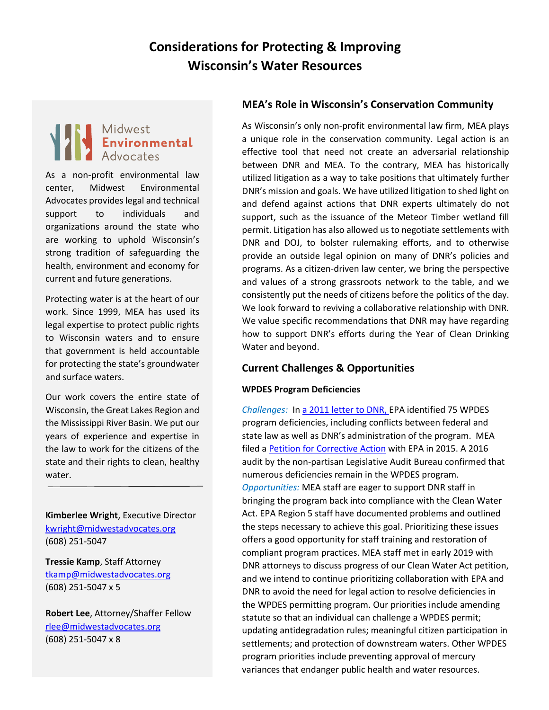# **Considerations for Protecting & Improving Wisconsin's Water Resources**

# Midwest<br>**Environmental**<br>Advocates

As a non-profit environmental law center, Midwest Environmental Advocates provides legal and technical support to individuals and organizations around the state who are working to uphold Wisconsin's strong tradition of safeguarding the health, environment and economy for current and future generations.

Protecting water is at the heart of our work. Since 1999, MEA has used its legal expertise to protect public rights to Wisconsin waters and to ensure that government is held accountable for protecting the state's groundwater and surface waters.

Our work covers the entire state of Wisconsin, the Great Lakes Region and the Mississippi River Basin. We put our years of experience and expertise in the law to work for the citizens of the state and their rights to clean, healthy water.

**Kimberlee Wright**, Executive Director [kwright@midwestadvocates.org](mailto:kwright@midwestadvocates.org) (608) 251-5047

**Tressie Kamp**, Staff Attorney [tkamp@midwestadvocates.org](mailto:tkamp@midwestadvocates.org) (608) 251-5047 x 5

**Robert Lee**, Attorney/Shaffer Fellow [rlee@midwestadvocates.org](mailto:rlee@midwestadvocates.org) (608) 251-5047 x 8

## **MEA's Role in Wisconsin's Conservation Community**

As Wisconsin's only non-profit environmental law firm, MEA plays a unique role in the conservation community. Legal action is an effective tool that need not create an adversarial relationship between DNR and MEA. To the contrary, MEA has historically utilized litigation as a way to take positions that ultimately further DNR's mission and goals. We have utilized litigation to shed light on and defend against actions that DNR experts ultimately do not support, such as the issuance of the Meteor Timber wetland fill permit. Litigation has also allowed us to negotiate settlements with DNR and DOJ, to bolster rulemaking efforts, and to otherwise provide an outside legal opinion on many of DNR's policies and programs. As a citizen-driven law center, we bring the perspective and values of a strong grassroots network to the table, and we consistently put the needs of citizens before the politics of the day. We look forward to reviving a collaborative relationship with DNR. We value specific recommendations that DNR may have regarding how to support DNR's efforts during the Year of Clean Drinking Water and beyond.

## **Current Challenges & Opportunities**

#### **WPDES Program Deficiencies**

*Challenges:* In [a 2011 letter to DNR,](http://midwestadvocates.org/assets/resources/2011_Hedman_to_Stepp_-_Legal_Authority,_Deficiencies.pdf) EPA identified 75 WPDES program deficiencies, including conflicts between federal and state law as well as DNR's administration of the program. MEA filed a **Petition for Corrective Action** with EPA in 2015. A 2016 audit by the non-partisan Legislative Audit Bureau confirmed that numerous deficiencies remain in the WPDES program. *Opportunities:* MEA staff are eager to support DNR staff in bringing the program back into compliance with the Clean Water Act. EPA Region 5 staff have documented problems and outlined the steps necessary to achieve this goal. Prioritizing these issues offers a good opportunity for staff training and restoration of compliant program practices. MEA staff met in early 2019 with DNR attorneys to discuss progress of our Clean Water Act petition, and we intend to continue prioritizing collaboration with EPA and DNR to avoid the need for legal action to resolve deficiencies in the WPDES permitting program. Our priorities include amending statute so that an individual can challenge a WPDES permit; updating antidegradation rules; meaningful citizen participation in settlements; and protection of downstream waters. Other WPDES program priorities include preventing approval of mercury variances that endanger public health and water resources.